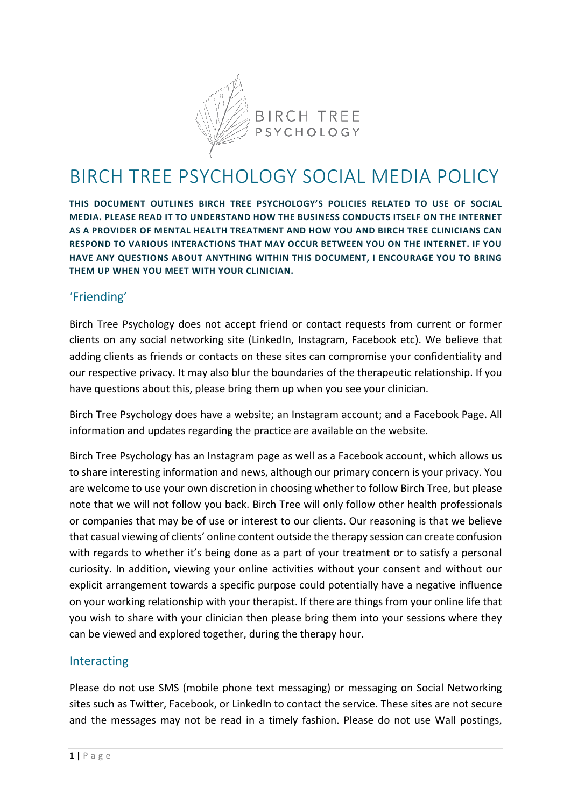

# BIRCH TREE PSYCHOLOGY SOCIAL MEDIA POLICY

**THIS DOCUMENT OUTLINES BIRCH TREE PSYCHOLOGY'S POLICIES RELATED TO USE OF SOCIAL MEDIA. PLEASE READ IT TO UNDERSTAND HOW THE BUSINESS CONDUCTS ITSELF ON THE INTERNET AS A PROVIDER OF MENTAL HEALTH TREATMENT AND HOW YOU AND BIRCH TREE CLINICIANS CAN RESPOND TO VARIOUS INTERACTIONS THAT MAY OCCUR BETWEEN YOU ON THE INTERNET. IF YOU HAVE ANY QUESTIONS ABOUT ANYTHING WITHIN THIS DOCUMENT, I ENCOURAGE YOU TO BRING THEM UP WHEN YOU MEET WITH YOUR CLINICIAN.**

### 'Friending'

Birch Tree Psychology does not accept friend or contact requests from current or former clients on any social networking site (LinkedIn, Instagram, Facebook etc). We believe that adding clients as friends or contacts on these sites can compromise your confidentiality and our respective privacy. It may also blur the boundaries of the therapeutic relationship. If you have questions about this, please bring them up when you see your clinician.

Birch Tree Psychology does have a website; an Instagram account; and a Facebook Page. All information and updates regarding the practice are available on the website.

Birch Tree Psychology has an Instagram page as well as a Facebook account, which allows us to share interesting information and news, although our primary concern is your privacy. You are welcome to use your own discretion in choosing whether to follow Birch Tree, but please note that we will not follow you back. Birch Tree will only follow other health professionals or companies that may be of use or interest to our clients. Our reasoning is that we believe that casual viewing of clients' online content outside the therapy session can create confusion with regards to whether it's being done as a part of your treatment or to satisfy a personal curiosity. In addition, viewing your online activities without your consent and without our explicit arrangement towards a specific purpose could potentially have a negative influence on your working relationship with your therapist. If there are things from your online life that you wish to share with your clinician then please bring them into your sessions where they can be viewed and explored together, during the therapy hour.

#### Interacting

Please do not use SMS (mobile phone text messaging) or messaging on Social Networking sites such as Twitter, Facebook, or LinkedIn to contact the service. These sites are not secure and the messages may not be read in a timely fashion. Please do not use Wall postings,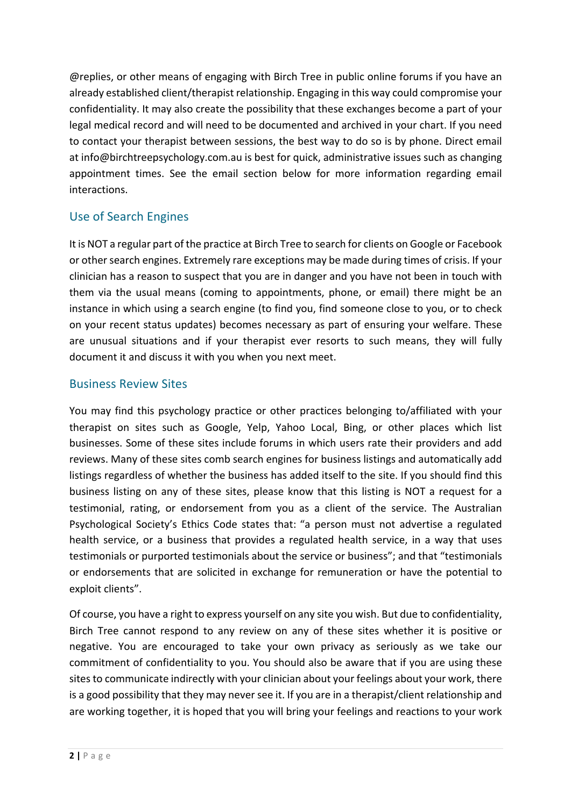@replies, or other means of engaging with Birch Tree in public online forums if you have an already established client/therapist relationship. Engaging in this way could compromise your confidentiality. It may also create the possibility that these exchanges become a part of your legal medical record and will need to be documented and archived in your chart. If you need to contact your therapist between sessions, the best way to do so is by phone. Direct email at info@birchtreepsychology.com.au is best for quick, administrative issues such as changing appointment times. See the email section below for more information regarding email interactions.

# Use of Search Engines

It is NOT a regular part of the practice at Birch Tree to search for clients on Google or Facebook or other search engines. Extremely rare exceptions may be made during times of crisis. If your clinician has a reason to suspect that you are in danger and you have not been in touch with them via the usual means (coming to appointments, phone, or email) there might be an instance in which using a search engine (to find you, find someone close to you, or to check on your recent status updates) becomes necessary as part of ensuring your welfare. These are unusual situations and if your therapist ever resorts to such means, they will fully document it and discuss it with you when you next meet.

### Business Review Sites

You may find this psychology practice or other practices belonging to/affiliated with your therapist on sites such as Google, Yelp, Yahoo Local, Bing, or other places which list businesses. Some of these sites include forums in which users rate their providers and add reviews. Many of these sites comb search engines for business listings and automatically add listings regardless of whether the business has added itself to the site. If you should find this business listing on any of these sites, please know that this listing is NOT a request for a testimonial, rating, or endorsement from you as a client of the service. The Australian Psychological Society's Ethics Code states that: "a person must not advertise a regulated health service, or a business that provides a regulated health service, in a way that uses testimonials or purported testimonials about the service or business"; and that "testimonials or endorsements that are solicited in exchange for remuneration or have the potential to exploit clients".

Of course, you have a right to express yourself on any site you wish. But due to confidentiality, Birch Tree cannot respond to any review on any of these sites whether it is positive or negative. You are encouraged to take your own privacy as seriously as we take our commitment of confidentiality to you. You should also be aware that if you are using these sites to communicate indirectly with your clinician about your feelings about your work, there is a good possibility that they may never see it. If you are in a therapist/client relationship and are working together, it is hoped that you will bring your feelings and reactions to your work